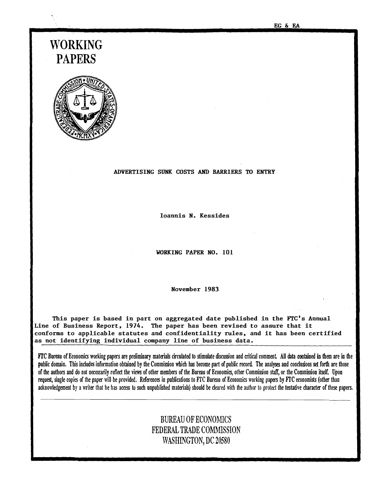EG & EA

# WORKING PAPERS



#### ADVERTISING SUNK COSTS AND BARRIERS TO ENTRY

Ioannis N. Kessides

WORKING PAPER NO. 101

November 1983

This paper is based in part on aggregated date published in the FTC's Annual Line of Business Report, 1974. The paper has been revised to assure that it conforms to applicable statutes and confidentiality rules, and it has been certified as not identifying individual company line of business data.

.Fl'C Bureau of Economics working papers are preliminary materials circulated to stimulate discussion and critical comment All data contained in them are in the public domain. This includes information obtained by the Commission which has become part of public record. The analyses and conclusions set forth are those of the authors and do not necessarily reflect the views of other members of the Bureau of Economics, other Commission staff, or the Commission itself. Upon request, single copies of the paper will be provided. References in publications to FTC Bureau of Economics working papers by FTC economists (other than acknowledgement by a writer that he has access to such unpublished materials) should be cleared with the author to protect the tentative character of these papers.

## BUREAU OF ECONOMICS FEDERAL TRADE COMMISSION WASHINGTON, DC 20580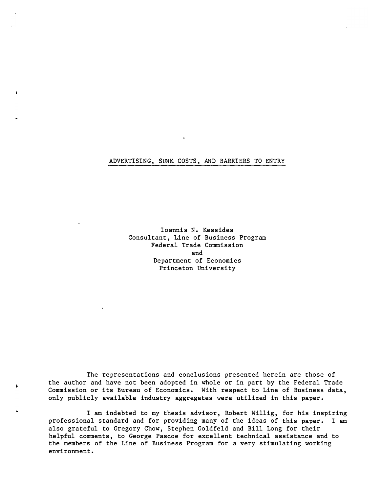#### ADVERTISING, SUNK COSTS, AND BARRIERS TO ENTRY

Ioannis N. Kessides Consultant, Line of Business Program Federal Trade Commission and Department of Economics Princeton University

The representations and conclusions presented herein are those of the author and have not been adopted in whole or in part by the Federal Trade Commission or its Bureau of Economics. With respect to Line of Business data, only publicly available industry aggregates were utilized in this paper.

I am indebted to my thesis advisor, Robert Willig, for his inspiring professional standard and for providing many of the ideas of this paper. I am also grateful to Gregory Chow, Stephen Goldfeld and Bill Long for their helpful comments, to George Pascoe for excellent technical assistance and to the members of the Line of Business Program for a very stimulating working environment.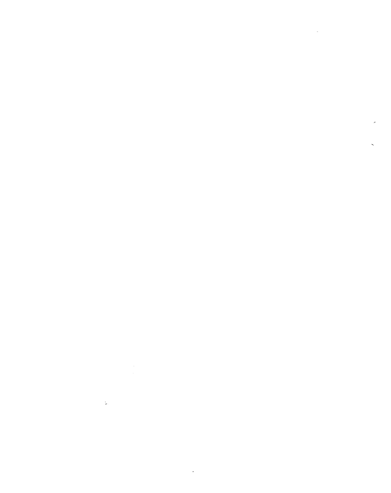$\mathcal{L}^{\text{max}}_{\text{max}}$ 

 $\hat{\vec{r}}$ 

 $\label{eq:2.1} \begin{split} \mathcal{L}_{\text{max}}(\mathbf{r}) = \mathcal{L}_{\text{max}}(\mathbf{r}) \mathcal{L}_{\text{max}}(\mathbf{r}) \,, \end{split}$ 

 $\Delta \mu^2 \sim 10^{-1}$ 

 $\frac{1}{2}$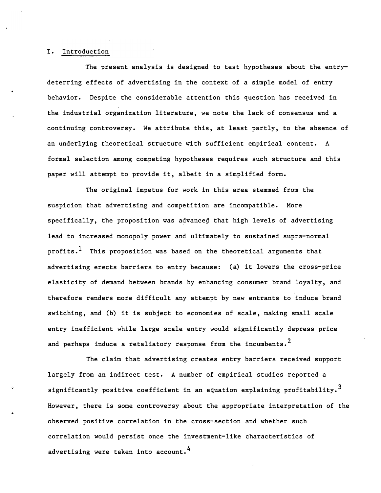#### I. Introduction

•

The present analysis is designed to test hypotheses about the entrydeterring effects of advertising in the context of a simple model of entry behavior. Despite the considerable attention this question has received in the industrial organization literature, we note the lack of consensus and a continuing controversy. We attribute this, at least partly, to the absence of an underlying theoretical structure with sufficient empirical content. A formal selection among competing hypotheses requires such structure and this paper will attempt to provide it, albeit in a simplified form.

The original impetus for work in this area stemmed from the suspicion that advertising and competition are incompatible. More specifically, the proposition was advanced that high levels of advertising lead to increased monopoly power and ultimately to sustained supra-normal profits.<sup>1</sup> This proposition was based on the theoretical arguments that advertising erects barriers to entry because: (a) it lowers the cross-price elasticity of demand between brands by enhancing consumer brand loyalty, and therefore renders more difficult any attempt by new entrants to induce brand switching, and (b) it is subject to economies of scale, making small scale entry inefficient while large scale entry would significantly depress price and perhaps induce a retaliatory response from the incumbents.<sup>2</sup>

The claim that advertising creates entry barriers received support largely from an indirect test. A number of empirical studies reported a significantly positive coefficient in an equation explaining profitability.<sup>3</sup> However, there is some controversy about the appropriate interpretation of the observed positive correlation in the cross-section and whether such correlation would persist once the investment-like characteristics of advertising were taken into account.<sup>4</sup>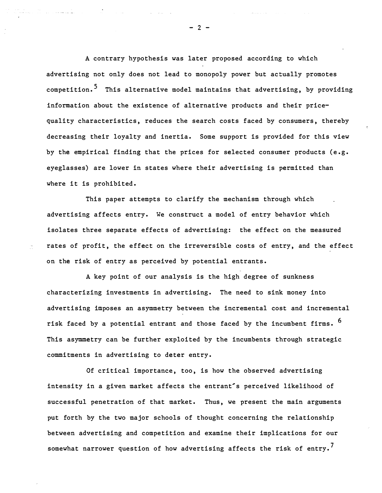A contrary hypothesis was later proposed according to which advertising not only does not lead to monopoly power but actually promotes competition. 5 This alternative model maintains that advertising, by providing information about the existence of alternative products and their pricequality characteristics, reduces the search costs faced by consumers, thereby decreasing their loyalty and inertia. Some support is provided for this view by the empirical finding that the prices for selected consumer products (e.g. eyeglasses) are lower in states where their advertising is permitted than where it is prohibited.

This paper attempts to clarify the mechanism through which advertising affects entry. We construct a model of entry behavior which isolates three separate effects of advertising: the effect on the measured rates of profit, the effect on the irreversible costs of entry, and the effect on the risk of entry as perceived by potential entrants.

A key point of our analysis is the high degree of sunkness characterizing investments in advertising. The need to sink money into advertising imposes an asymmetry between the incremental cost and incremental risk faced by a potential entrant and those faced by the incumbent firms. <sup>b</sup> This asymmetry can be further exploited by the incumbents through strategic commitments in advertising to deter entry.

Of critical importance, too, is how the observed advertising intensity in a given market affects the entrant's perceived likelihood of successful penetration of that market. Thus, we present the main arguments put forth by the two major schools of thought concerning the relationship between advertising and competition and examine their implications for our somewhat narrower question of how advertising affects the risk of entry.<sup>7</sup>

 $- 2 -$ 

 $\alpha$  , and the second contribution of the second contribution  $\alpha$  . The second contribution of the second contribution of the second contribution of the second contribution of the second contribution of the second contri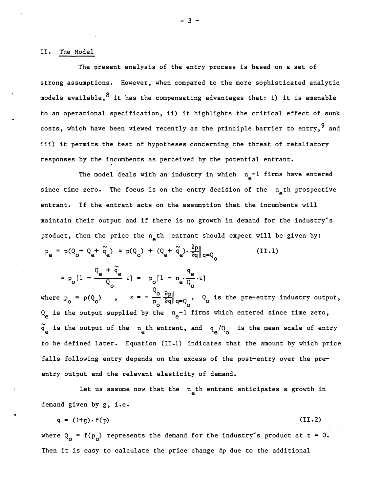II. The Model

The present analysis of the entry process is based on a set of strong assumptions. However, when compared to the more sophisticated analytic models available,  $8$  it has the compensating advantages that: i) it is amenable to an operational specification, ii) it highlights the critical effect of sunk costs, which have been viewed recently as the principle barrier to entry,  $^9$  and iii) it permits the test of hypotheses concerning the threat of retaliatory responses by the incumbents as perceived by the potential entrant.

The model deals with an industry in which  $n$  -l firms have entered since time zero. The focus is on the entry decision of the n<sub>a</sub>th prospective entrant. If the entrant acts on the assumption that the incumbents will maintain their output and if there is no growth in demand for the industry's product, then the price the  $n_a$ th entrant should expect will be given by:

$$
p_e = p(Q_o + Q_e + \tilde{q}_e) \approx p(Q_o) + (Q_e + \tilde{q}_e) \cdot \frac{\partial p}{\partial q}|_{q = Q_o}
$$
 (II.1)

$$
= p_0 \left[ 1 - \frac{Q_e + q_e}{Q_o} \epsilon \right] = p_0 \left[ 1 - n_e \frac{q_e}{Q_o} \epsilon \right]
$$

 $\boldsymbol{Q}_{_{\mathbf{\mathbf{\mathbf{e}}}}}$  is the output supplied by the  $\boldsymbol{\mathsf{n}}$  -l firms which entered since time zero,  $\epsilon = -\frac{Q_o}{P_o} \frac{\partial p}{\partial q} \Big|_{q=Q_o}$ ,  $Q_o$  is the pre-entry industry output,  $\tilde{q}_e$  is the output of the  $n_e$ th entrant, and  $q_e/Q_o$  is the mean scale of entry to be defined later. Equation (II.1) indicates that the amount by which price falls following entry depends on the excess of the post-entry over the preentry output and the relevant elasticity of demand.

Let us assume now that the  $n_{\rm e}$ th entrant anticipates a growth in demand given by g, i.e.

$$
q = (1+g) \cdot f(p) \tag{II.2}
$$

where  $Q_o = f(p_o)$  represents the demand for the industry's product at  $t = 0$ . Then it is easy to calculate the price change  $\Delta p$  due to the additional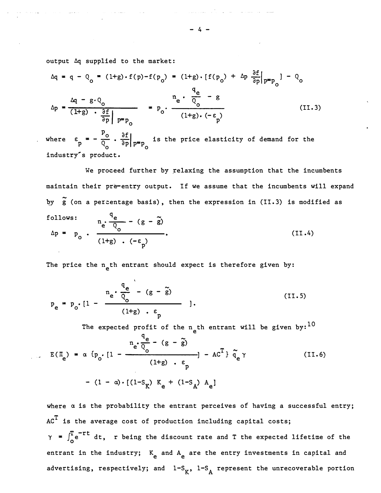output  $\Delta q$  supplied to the market:

$$
\Delta q = q - Q_0 = (1+g) \cdot f(p) - f(p_0) = (1+g) \cdot [f(p_0) + \Delta p \frac{\partial f}{\partial p}|_{p=p_0}] - Q_0
$$
\n
$$
\Delta p = \frac{\Delta q - g \cdot Q_0}{(1+g) \cdot \frac{\partial f}{\partial p}|_{p=p_0}} = p_0 \cdot \frac{n_e \cdot \frac{q_e}{Q_0} - g}{(1+g) \cdot (-\epsilon_p)}
$$
\n(II.3)

 $\label{eq:1} \mathcal{L}(\mathbf{z}) = \mathcal{L}(\mathbf{z},\mathbf{z}) = \mathcal{L}(\mathbf{z},\mathbf{z}) = \mathcal{L}(\mathbf{z},\mathbf{z}) = \mathcal{L}(\mathbf{z},\mathbf{z}) = \mathcal{L}(\mathbf{z},\mathbf{z}) = \mathcal{L}(\mathbf{z},\mathbf{z})$ 

where  $\varepsilon_n = -\frac{P_o}{O} \cdot \frac{\partial f}{\partial P} \Big|_{P} = n$  is the price elasticity of demand for the p Q ap p=p<sub>o</sub> industry's product.

follows:  $n_e \cdot \frac{q_e}{Q} - (g - \tilde{g})$ We proceed further by relaxing the assumption that the incumbents maintain their pre-entry output. If we assume that the incumbents will expand by  $\tilde{g}$  (on a percentage basis), then the expression in (II.3) is modified as  $\Delta p = p_0 \cdot \frac{Q_0}{(1+g) \cdot (-\epsilon_p)}.$  (II.4)

The price the  $\mathfrak{n}_{\rm e}$ th entrant should expect is therefore given by:

$$
p_e = p_o \cdot [1 - \frac{n_e \cdot \frac{q_e}{Q_o} - (g - \tilde{g})}{(1 + g) \cdot \varepsilon_p} ].
$$
 (II.5)

The expected profit of the  $n_{\rm e}$ th entrant will be given by: $^{10}$ 

$$
E(\Pi_{e}) = \alpha \{p_{o} \cdot [1 - \frac{n_{e} \cdot \frac{q_{e}}{Q_{o}} - (g - \tilde{g})}{(1+g) \cdot \epsilon_{p}}] - AC^{T}\} \tilde{q}_{e} \gamma
$$
(II.6)  
-  $(1 - \alpha) \cdot [(1 - S_{r}) K_{a} + (1 - S_{a}) A_{a}]$ 

where  $\alpha$  is the probability the entrant perceives of having a successful entry;  $AC<sup>T</sup>$  is the average cost of production including capital costs;  $\gamma$  =  $\int_{0}^{T} e^{-rt} dt$ , r being the discount rate and T the expected lifetime of the entrant in the industry;  $K_{\rm e}$  and  $A_{\rm e}$  are the entry investments in capital and advertising, respectively; and  $1{\texttt -S\textsc{}}_\mathsf{K}$ ,  $1{\texttt -S\textsc{}}_\mathsf{A}$  represent the unrecoverable portion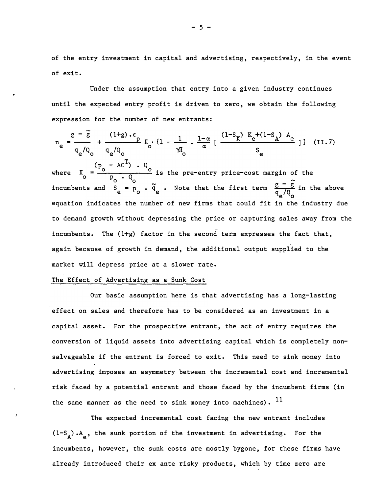of the entry investment in capital and advertising, respectively, in the event of exit.

Under the assumption that entry into a given industry continues until the expected entry profit is driven to zero, we obtain the following expression for the number of new entrants:

$$
n_e = \frac{g - \tilde{g}}{q_e / Q_o} + \frac{(1 + g) \cdot \varepsilon_p}{q_e / Q_o} n_o \cdot (1 - \frac{1}{\gamma I_o} \cdot \frac{1 - \alpha}{\alpha} [\frac{(1 - S_K) K_e + (1 - S_A) A_e}{S_e} ]
$$
 (II.7)

 $\overline{\phantom{a}}$  $\mathcal{L}_{\mathbf{0}}$  $q_e/Q_o$ T, where  $I_0 = \frac{(P_0 - AC^1) \cdot Q_0}{P \cdot Q}$  is the pre-entry price-cost margin of the  $P_{\mathsf{O}}$  – incumbents and  $S_e = P_o \cdot \tilde{q}_e$ . Note that the first term  $\frac{g - \tilde{g}}{q_o / Q_o}$  in the above equation indicates the number of new firms that could fit in the industry due to demand growth without depressing the price or capturing sales away from the incumbents. The (1+g) factor in the second term expresses the fact that, again because of growth in demand, the additional output supplied to the market will depress price at a slower rate.

#### The Effect of Advertising as a Sunk Cost

,

effect on sales and therefore has to be considered as an investment in a capital asset. For the prospective entrant, the act of entry requires the conversion of liquid assets into advertising capital which is completely nonsalvageable if the entrant is forced to exit. This need to sink money into advertising imposes an asymmetry between the incremental cost and incremental risk faced by a potential entrant and those faced by the incumbent firms (in the same manner as the need to sink money into machines).  $^{11}$ Our basic assumption here is that advertising has a long-lasting

The expected incremental cost facing the new entrant includes  $(1-S_A)$ .A<sub>e</sub>, the sunk portion of the investment in advertising. For the incumbents, however, the sunk costs are mostly bygone, for these firms have already introduced their ex ante risky products, which by time zero are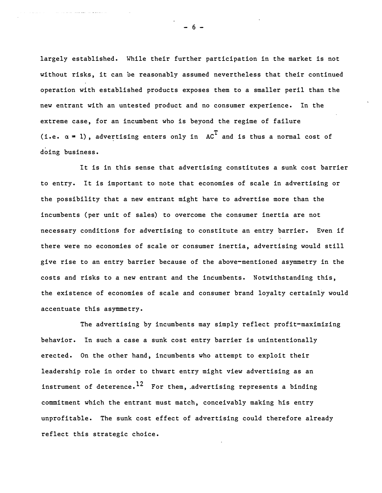largely established. While their further participation in the market is not without risks, it can be reasonably assumed nevertheless that their continued operation with established products exposes them to a smaller peril than the new entrant with an untested product and no consumer experience. In the extreme case, for an incumbent who is beyond the regime of failure (i.e.  $\alpha = 1$ ), advertising enters only in AC<sup>T</sup> and is thus a normal cost of doing business.

It is in this sense that advertising constitutes a sunk cost barrier to entry. It is important to note that economies of scale in advertising or the possibility that a new entrant might have to advertise more than the incumbents (per unit of sales) to overcome the consumer inertia are not necessary conditions for advertising to constitute an entry barrier. Even if there were no economies of scale or consumer inertia, advertising would still give rise to an entry barrier because of the above-mentioned asymmetry in the costs and risks to a new entrant and the incumbents. Notwithstanding this, the existence of economies of scale and consumer brand loyalty certainly would accentuate this asymmetry.

The advertising by incumbents may simply reflect profit-maximizing behavior. In such a case a sunk cost entry barrier is unintentionally erected. On the other hand, incumbents who attempt to exploit their leadership role in order to thwart entry might view advertising as an instrument of deterence.<sup>12</sup> For them, advertising represents a binding commitment which the entrant must match, conceivably making his entry unprofitable. The sunk cost effect of advertising could therefore already reflect this strategic choice.

- 6 -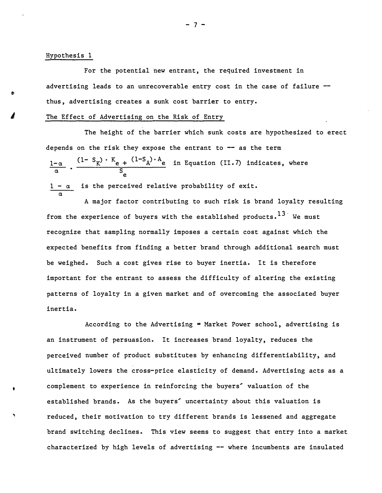#### Hypothesis 1

 $\overline{\alpha}$ 

For the potential new entrant, the required investment in advertising leads to an unrecoverable entry cost in the case of failure thus , advertising creates a sunk cost barrier to entry.

#### The Effect of Advertising on the Risk of Entry

The height of the barrier which sunk costs are hypothesized to erect depends on the risk they expose the entrant to  $-$  as the term  $\frac{1-\alpha}{\alpha}$   $\frac{(1-S_{K}) \cdot K_{e}}{K}$  $\frac{a}{a}$  .  $\frac{S_e}{a}$  $\frac{(1-S_A)\cdot A_e}{(1-S_A)^2}$  in Equation (II.7) indicates, where

 $1 - \alpha$  is the perceived relative probability of exit.

A major factor contributing to such risk is brand loyalty resulting from the experience of buyers with the established products.  $^{13}$  We must recognize that sampling normally imposes a certain cost against which the expected benefits from finding a better brand through additional search must be weighed. Such a cost gives rise to buyer inertia. It is therefore important for the entrant to assess the difficulty of altering the existing patterns of loyalty in a given market and of overcoming the associated buyer inertia.

According to the Advertising = Market Power school, advertising is an instrument of persuasion. It increases brand loyalty, reduces the perceived number of product substitutes by enhancing differentiability, and ultimately lowers the cross-price elasticity of demand. Advertising acts as a • complement to experience in reinforcing the buyers' valuation of the established brands. As the buyers' uncertainty about this valuation is reduced, their motivation to try different brands is lessened and aggregate brand switching declines. This view seems to suggest that entry into a market characterized by high levels of advertising -- where incumbents are insulated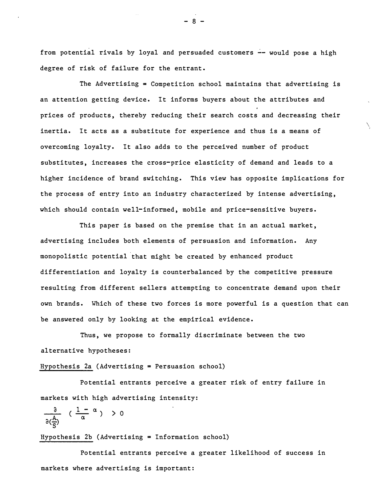from potential rivals by loyal and persuaded customers  $\leftarrow$  would pose a high degree of risk of failure for the entrant.

The Advertising = Competition school maintains that advertising is an attention getting device. It informs buyers about the attributes and prices of products, thereby reducing their search costs and decreasing their inertia. It acts as a substitute for experience and thus is a means of \ overcoming loyalty. It also adds to the perceived number of product substitutes, increases the cross-price elasticity of demand and leads to a higher incidence of brand switching. This view has opposite implications for the process of entry into an industry characterized by intense advertising, which should contain well-informed, mobile and price-sensitive buyers.

This paper is based on the premise that in an actual market, advertising includes both elements of persuasion and information. Any · monopolistic potential that might be created by enhanced product differentiation and loyalty is counterbalanced by the competitive pressure resulting from different sellers attempting to concentrate demand upon their own brands. Which of these two forces is more powerful is a question that can be answered only by looking at the empirical evidence.

Thus, we propose to formally discriminate between the two alternative hypotheses:

Hypothesis 2a (Advertising = Persuasion school)

Potential entrants perceive a greater risk of entry failure in markets with high advertising intensity:

$$
\frac{\partial}{\partial(\frac{A}{S})} \left( \frac{1-\alpha}{\alpha} \right) > 0
$$

Hypothesis 2b (Advertising = Information school)

Potential entrants perceive a greater likelihood of success in markets where advertising is important:

- 8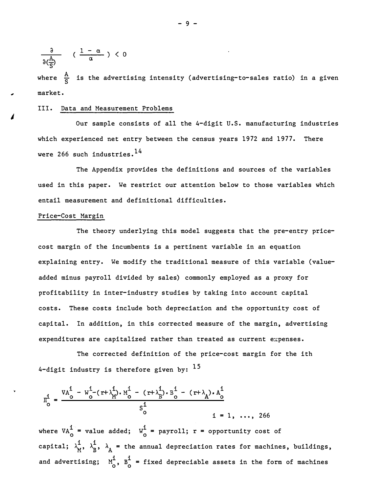$$
\frac{\partial}{\partial(\frac{A}{S})} \qquad (\frac{1-\alpha}{\alpha}) < 0
$$

where  $\frac{A}{S}$  is the advertising intensity (advertising-to-sales ratio) in a given market.

#### III. Data and Measurement Problems

Our sample consists of all the 4-digit U. S. manufacturing industries which experienced net entry between the census years 1972 and 1977. There were 266 such industries.<sup>14</sup>

The Appendix provides the definitions and sources of the variables used in this paper. We restrict our attention below to those variables which entail measurement and definitional difficulties.

#### Price-Cost Margin

The theory underlying this model suggests that the pre-entry pricecost margin of the incumbents is a pertinent variable in an equation explaining entry. We modify the traditional measure of this variable (valueadded minus payroll divided by sales) commonly employed as a proxy for profitability in inter-industry studies by taking into account capital costs. These costs include both depreciation and the opportunity cost of capital. In addition, in this corrected measure of the margin, advertising expenditures are capitalized rather than treated as current expenses.

The corrected definition of the price-cost margin for the ith 4-digit industry is therefore given by:  $^{15}$ 

$$
\Pi_{0}^{i} = \frac{VA_{0}^{i} - W_{0}^{i} - (r + \lambda_{M}^{i}) \cdot M_{0}^{i} - (r + \lambda_{B}^{i}) \cdot B_{0}^{i} - (r + \lambda_{A}) \cdot A_{0}^{i}}{s_{0}^{i}}
$$
\n
$$
i = 1, ..., 266
$$

and advertising;  $M_0^1$ ,  $B_0^1$  = fixed depreciable assets in the form of machines capital;  $\lambda_M^{\textbf{i}}, \lambda_M^{\textbf{i}}$ ,  $\lambda_A$  = the annual depreciation rates for machines, buildings, where VA<sup>1</sup> = value added;  $W_0^1$  = payroll; r = opportunity cost of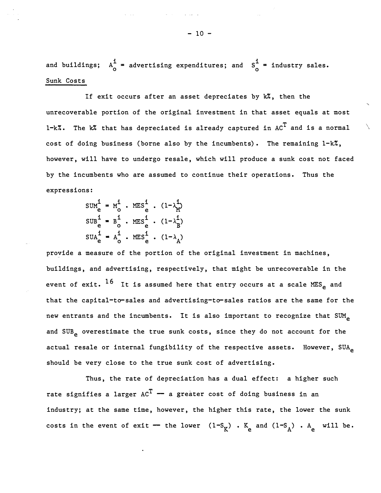and buildings;  $A_0^i$  = advertising expenditures; and  $S_0^i$  = industry sales. Sunk Costs

If exit occurs after an asset depreciates by k%, then the unrecoverable portion of the original investment in that asset equals at most 1-k%. The k% that has depreciated is already captured in  $\text{AC}^\text{T}$  and is a normal cost of doing business (borne also by the incumbents). The remaining 1-k%, however, will have to undergo resale, which will produce a sunk cost not faced by the incumbents who are assumed to continue their operations. Thus the expressions:

> $SUM_e^i = M_o^i$ . MES $_e^i$ .  $(1-\lambda_M^i)$ SUB<sub>e</sub> = B<sub>o</sub> . MES<sub>e</sub> .  $(1-\lambda_{\text{B}}^{\text{i}})$  $SUA_{e}^{\mathbf{i}} = A_{o}^{\mathbf{i}}$ . MES<sub>e</sub><sup>i</sup> (1- $\lambda_{A}$ )

provide a measure of the portion of the original investment in machines, buildings, and advertising, respectively, that might be unrecoverable in the event of exit.  $^{16}$  It is assumed here that entry occurs at a scale MES<sub>e</sub> and that the capital-to-sales and advertising-to-sales ratios are the same for the new entrants and the incumbents. It is also important to recognize that SUM<sub>p</sub> and SUB<sub>e</sub> overestimate the true sunk costs, since they do not account for the actual resale or internal fungibility of the respective assets. However, SUA<sub>o</sub> should be very close to the true sunk cost of advertising.

Thus, the rate of depreciation has a dual effect: a higher such rate signifies a larger  $AC<sup>T</sup>$  - a greater cost of doing business in an industry; at the same time, however, the higher this rate, the lower the sunk costs in the event of exit –- the lower  $(1-S_K)$  . K<sub>e</sub> and  $(1-S_A)$  . A<sub>e</sub> will be.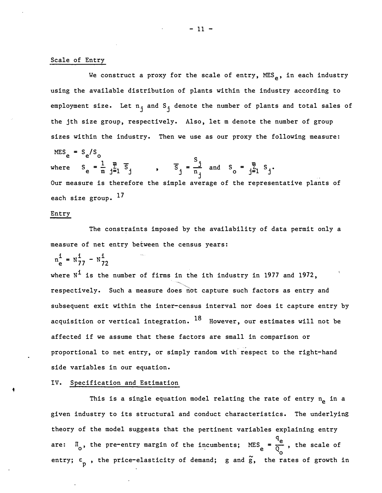#### Scale of Entry

We construct a proxy for the scale of entry,  $MES_{\alpha}$ , in each industry using the available distribution of plants within the industry according to employment size. Let  $n_i$  and  $S_i$  denote the number of plants and total sales of the jth size group, respectively. Also, let m denote the number of group sizes within the industry. Then we use as our proxy the following measure:

 $\overline{\overline{\mathfrak{n}}_{\mathfrak{a}}}$  $MES_e = S_e/S$  $\begin{array}{ccc} 0 & & & & S_1 \\ 1 & m & - & & & - \end{array}$ where  $S_e = \frac{1}{m} \int_{\frac{1}{2}}^{m} \overline{S}_j$ ,  $\overline{S}_j = \frac{J}{n}$  and  $S_o = \sum_{j=1}^{m}$ J  $e = \frac{1}{m} \int_{\frac{1}{2}}^{\frac{m}{2}} 1 \overline{S}_j$ ,  $\overline{S}_j = \frac{1}{n_j}$  and  $S_o = \int_{\frac{m}{2}}^{\frac{m}{2}} S_j$ . J Our measure is therefore the simple average of the representative plants of each size group. <sup>17</sup>

#### Entry

The constraints imposed by the availability of data permit only a measure of net entry between the census years:

$$
n_e^i = N_{77}^i - N_{72}^i
$$

respectively. Such a measure does not capture such factors as entry and where  $\texttt{N}^{\texttt{i}}$  is the number of firms in the ith industry in 1977 and 1972, subsequent exit within the inter-census interval nor does it capture entry by acquisition or vertical integration.  $18$  However, our estimates will not be affected if we assume that these factors are small in comparison or proportional to net entry, or simply random with respect to the right-hand side variables in our equation.

#### IV. Specification and Estimation

This is a single equation model relating the rate of entry  $n_{\rho}$  in a given industry to its structural and conduct characteristics. The underlying theory of the model suggests that the pertinent variables explaining entry are:  $I_{\text{o}}$ , the pre-entry margin of the incumbents;  $MES_{\text{e}} = \frac{q_{\text{e}}}{Q_{\text{o}}}$ , the scale of entry;  $\varepsilon_{\text{p}}^{\text{}}$  , the price-elasticity of demand; g and  $\stackrel{\sim}{\text{g}}$ , the rates of growth in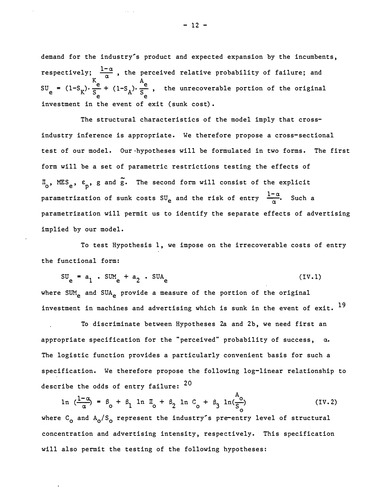demand for the industry's product and expected expansion by the incumbents, respectively;  $\frac{1-\alpha}{\alpha}$ , the perceived relative probability of failure; and  $SU_{e} = (1-S_{K}) \cdot \frac{K_{e}}{S_{e}} + (1-S_{A}) \cdot \frac{A_{e}}{S_{e}}$ , the unrecoverable portion of the original -- investment in the event of exit (sunk cost).

The structural characteristics of the model imply that crossindustry inference is appropriate. We therefore propose a cross-sectional test of our model. Our·hypotheses will be formulated in two forms. The first form will be a set of parametric restrictions testing the effects of  $\mathbb{I}_{\overline{O}}$ , MES<sub>e</sub>,  $\epsilon_{\overline{p}}$ , g and  $\widetilde{g}$ . The second form will consist of the explicit parametrization of sunk costs SU<sub>e</sub> and the risk of entry  $\frac{1-\alpha}{\alpha}$ . Such a parametrization will permit us to identify the separate effects of advertising implied by our model.

To test Hypothesis 1, we impose on the irrecoverable costs of entry the functional form:

 $SU_e = a_1 \cdot SW_e + a_2 \cdot SUA_e$  (IV.1) where  $SUM_{\rho}$  and  $SUA_{\rho}$  provide a measure of the portion of the original investment in machines and advertising which is sunk in the event of exit.  $^{19}$ 

To discriminate between Hypotheses 2a and 2b, we need first an appropriate specification for the "perceived" probability of success,  $\alpha$ . The logistic function provides a particularly convenient basis for such a specification. We therefore propose the following log-linear relationship to describe the odds of entry failure: 20

 $\frac{1-\alpha}{\cdots}$  $= \beta_0 + \beta_1 \ln \mathbb{I}_0 + \beta_2 \ln C_0 + \beta_3 \ln(\frac{A_0}{S_0})$  (IV.2) where  $C_0$  and  $A_0/S_0$  represent the industry's pre-entry level of structural concentration and advertising intensity, respectively. This specification will also permit the testing of the following hypotheses: 1n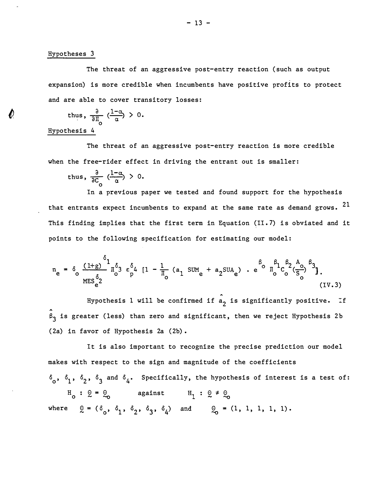#### Hypotheses 3

The threat of an aggressive post-entry reaction (such as output expansion) is more credible when incumbents have positive profits to protect and are able to cover transitory losses:

thus, 
$$
\frac{\partial}{\partial \Pi}
$$
  $(\frac{1-\alpha}{\alpha}) > 0$ .

#### Hypothesis 4

The threat of an aggressive post-entry reaction is more credible when the free-rider effect in driving the entrant out is smaller:

thus, 
$$
\frac{\partial}{\partial C_o} \left( \frac{1-\alpha}{\alpha} \right) > 0
$$
.

points to the following specification for estimating our model: In a previous paper we tested and found support for the hypothesis that entrants expect incumbents to expand at the same rate as demand grows.  $21$ This finding implies that the first term in Equation (II.7) is obviated and it

$$
n_{e} = \delta_{o} \frac{(1+g)}{MES_{e}^{\delta_{2}}} \pi_{o}^{\delta_{3}} \epsilon_{p}^{\delta_{4}} [1 - \frac{1}{\pi_{o}} (a_{1} \text{ SUM}_{e} + a_{2} \text{SUM}_{e}) \cdot e^{\beta_{o}} \pi_{o}^{\beta_{1}} c_{o}^{\beta_{2}} (\frac{A_{o}}{S_{o}})^{\beta_{3}}],
$$
\n(IV.3)

Hypothesis  $1$  will be confirmed if  $a_{2}$  is significantly positive. If  $\beta_{\texttt{3}}$  is greater (less) than zero and significant, then we reject Hypothesis 2b (2a) in favor of Hypothesis 2a (2b).

It is also important to recognize the precise prediction our model makes with respect to the sign and magnitude of the coefficients  $\delta$ <sub>o</sub>,  $\delta_1$ ,  $\delta_2$ ,  $\delta_3$  and  $\delta_4$ . Specifically, the hypothesis of interest is a test of:  $H_o: \varrho = \varrho_o$  against  $H_1: \varrho \neq \varrho_o$ where  $\hat{Q} = (\delta_0, \delta_1, \delta_2, \delta_3, \delta_4)$  and  $\hat{Q}_0 = (1, 1, 1, 1, 1)$ .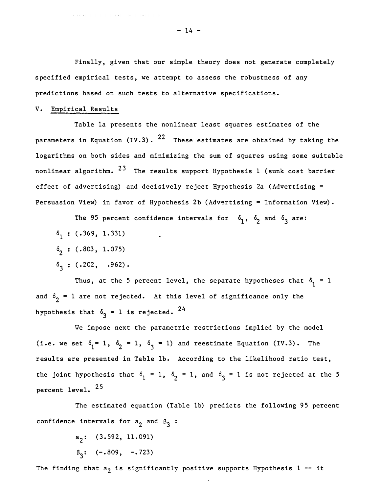Finally, given that our simple theory does not generate completely specified empirical tests, we attempt to assess the robustness of any predictions based on such tests to alternative specifications.

#### V. Empirical Results

 $\mathcal{L}^{\mathcal{L}}(\mathcal{L}^{\mathcal{L}}(\mathcal{L}^{\mathcal{L}}(\mathcal{L}^{\mathcal{L}}(\mathcal{L}^{\mathcal{L}}(\mathcal{L}^{\mathcal{L}}(\mathcal{L}^{\mathcal{L}}(\mathcal{L}^{\mathcal{L}}(\mathcal{L}^{\mathcal{L}}(\mathcal{L}^{\mathcal{L}}(\mathcal{L}^{\mathcal{L}}(\mathcal{L}^{\mathcal{L}}(\mathcal{L}^{\mathcal{L}}(\mathcal{L}^{\mathcal{L}}(\mathcal{L}^{\mathcal{L}}(\mathcal{L}^{\mathcal{L}}(\mathcal{L}^{\mathcal{L$ 

Table la presents the nonlinear least squares estimates of the parameters in Equation (IV.3).  $2^2$  These estimates are obtained by taking the logarithms on both sides and minimizing the sum of squares using some suitable nonlinear algorithm.  $23$  The results support Hypothesis 1 (sunk cost barrier effect of advertising) and decisively reject Hypothesis 2a (Advertising = Persuasion View) in favor of Hypothesis 2b (Advertising = Information View).

The 95 percent confidence intervals for  $\delta_1^{},\,\,\delta_2^{}$  and  $\delta_3^{}$  are:  $\delta_1$  : (.369, 1.331)

 $\delta$ <sub>2</sub> : (.803, 1.075)

$$
\delta_3: (.202, .962).
$$

Thus, at the 5 percent level, the separate hypotheses that  $\delta_1$  = 1 and  $\delta_2$  = 1 are not rejected. At this level of significance only the hypothesis that  $\delta_3$  = 1 is rejected. <sup>24</sup>

We impose next the parametric restrictions implied by the model (i.e. we set  $\delta_1 = 1$ ,  $\delta_2 = 1$ ,  $\delta_3 = 1$ ) and reestimate Equation (IV.3). The results are presented in Table lb. According to the likelihood ratio test, the joint hypothesis that  $\delta_1 = 1$ ,  $\delta_2 = 1$ , and  $\delta_3 = 1$  is not rejected at the 5 percent level. 25

The estimated equation (Table 1b) predicts the following 95 percent confidence intervals for  $a_2$  and  $\beta_3$  :

> $a_2$ : (3.592, 11.091)  $\beta_3$ : (-.809, -.723)

The finding that  $a_2$  is significantly positive supports Hypothesis 1 -- it

 $- 14 -$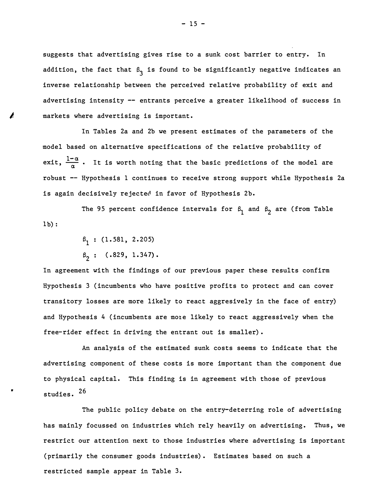suggests that advertising gives rise to a sunk cost barrier to entry. In addition, the fact that  $\beta_3$  is found to be significantly negative indicates an inverse relationship between the perceived relative probability of exit and advertising intensity -- entrants perceive a greater likelihood of success in markets where advertising is important.

In Tables 2a and 2b we present estimates of the parameters of the model based on alternative specifications of the relative probability of exit,  $\frac{1-\alpha}{\alpha}$ . It is worth noting that the basic predictions of the model are robust -- Hypothesis 1 continues to receive strong support while Hypothesis 2a is again decisively rejected in favor of Hypothesis 2b.

The 95 percent confidence intervals for  $\beta_1$  and  $\beta_2$  are (from Table 1b):

> $\beta_1$  : (1.581, 2.205)  $\beta_2$ : (.829, 1.347).

In agreement with the findings of our previous paper these results confirm Hypothesis 3 (incumbents who have positive profits to protect and can cover transitory losses are more likely to react aggresively in the face of entry) and Hypothesis 4 (incumbents are more likely to react aggressively when the free-rider effect in driving the entrant out is smaller).

An analysis of the estimated sunk costs seems to indicate that the advertising component of these costs is more important than the component due to physical capital. This finding is in agreement with those of previous studies. 26

The public policy debate on the entry-deterring role of advertising has mainly focussed on industries which rely heavily on advertising. Thus, we restrict our attention next to those industries where advertising is important (primarily the consumer goods industries). Estimates based on such a restricted sample appear in Table 3.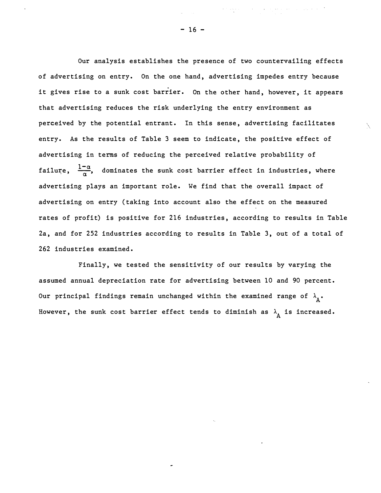Our analysis establishes the presence of two countervailing effects of advertising on entry. On the one hand, advertising impedes entry because it gives rise to a sunk cost barrier. On the other hand, however, it appears that advertising reduces the risk underlying the entry environment as perceived by the potential entrant. In this sense, advertising facilitates \ entry. As the results of Table 3 seem to indicate, the positive effect of advertising in terms of reducing the perceived relative probability of failure,  $\frac{1-\alpha}{\alpha}$ , dominates the sunk cost barrier effect in industries, where advertising plays an important role. We find that the overall impact of advertising on entry (taking into account also the effect on the measured rates of profit) is positive for 216 industries, according to results in Table 2a, and for 252 industries according to results in Table 3, out of a total of 262 industries examined.

Finally, we tested the sensitivity of our results by varying the assumed annual depreciation rate for advertising between 10 and 90 percent. Our principal findings remain unchanged within the examined range of  $\lambda_{\mathbf{A}}^{\mathbf{A}}$ . However, the sunk cost barrier effect tends to diminish as  $\lambda_{\text{A}}$  is increased.

 $- 16 -$ 

 $\mathcal{L}^{\mathcal{L}}(\mathcal{L}^{\mathcal{L}})$  and the following the contribution of the contribution of the contribution of  $\mathcal{L}^{\mathcal{L}}$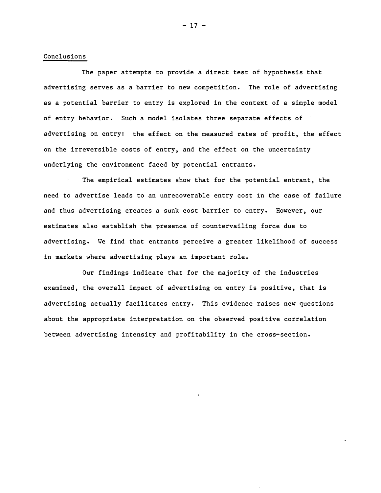#### Conclusions

The paper attempts to provide a direct test of hypothesis that advertising serves as a barrier to new competition. The role of advertising as a potential barrier to entry is explored in the context of a simple model of entry behavior. Such a model isolates three separate effects of advertising on entry: the effect on the measured rates of profit, the effect on the irreversible costs of entry, and the effect on the uncertainty underlying the environment faced by potential entrants.

The empirical estimates show that for the potential entrant, the need to advertise leads to an unrecoverable entry cost in the case of failure and thus advertising creates a sunk cost barrier to entry. However, our estimates also establish the presence of countervailing force due to advertising. We find that entrants perceive a greater likelihood of success in markets where advertising plays an important role.

Our findings indicate that for the majority of the industries examined, the overall impact of advertising on entry is positive, that is advertising actually facilitates entry. This evidence raises new questions about the appropriate interpretation on the observed positive correlation between advertising intensity and profitability in the cross-section.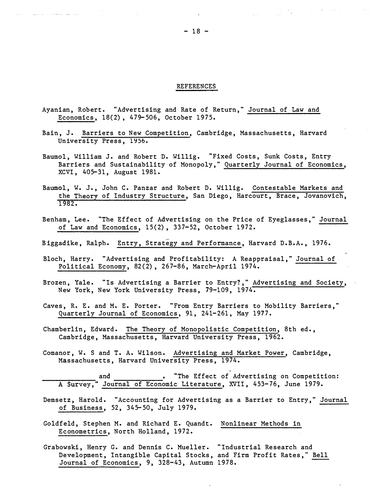#### REFERENCES

- Ayanian, Robert. "Advertising and Rate of Return," Journal of Law and Economics, 18(2), 479-506, October 1975.
- Bain, J. Barriers to New Competition, Cambridge, Massachusetts, Harvard University Press, 1956.
- Baumel, William J. and Robert D. Willig. ''Fixed Costs, Sunk Costs, Entry Barriers and Sustainability of Monopoly," Quarterly Journal of Economics, XCVI, 405-31, August 1981.
- the Theory of Industry Structure, San Diego, Harcourt, Brace, Jovanovich, Baumel, W. J. , John C. Panzar and Robert D. Willig. Contestable Markets and 1982.
- Benham, Lee. "The Effect of Advertising on the Price of Eyeglasses," Journal of Law and Economics, 15 (2), 337-52, October 1972.
- B iggadike, Ralph. Entry, Strategy and Performance, Harvard D. B. A., 1976.
- Bloch, Harry. "Advertising and Profitability: A Reappraisal," Journal of Political Economy, 82 (2), 267-86, March-April 1974.
- New York, New York University Press, 79-109, 1974. Brozen, Yale. "Is Advertising a Barrier to Entry?," Advertising and Society,
- Caves, R. E. and M. E. Porter. "From Entry Barriers to Mobility Barriers," Quarterly Journal of Economics, 91, 241-261, May 1977.
- Chamberlin, Edward. The Theory of Monopolistic Competition, 8th ed. , Cambridge, Massachusetts, Harvard University Press, 1962.
- Comanor, W. S and T. A. Wilson. Advertising and Market Power, Cambridge, Massachusetts, Harvard University Press, 1974.

A Survey," Journal of Economic Literature, XVII, 453-76, June 1979. and ''The Effect of Advertising on Competition:

- Demsetz, Harold. "Accounting for Advertising as a Barrier to Entry," Journal of Business, 52, 345-50, July 1979.
- Goldfeld, Stephen M. and Richard E. Quandt. Nonlinear Methods in Econometrics, North Holland, 1972.
- Grabowski, Henry G. and Dennis C. Mueller. " Industrial Research and Development, Intangible Capital Stocks, and Firm Profit Rates," Bell Journal of Economics, 9, 328-43, Autumn 1978.

 $\mathcal{L}^{\mathcal{L}}_{\mathcal{L}}$  is the contribution of the contribution of the contribution of  $\mathcal{L}^{\mathcal{L}}_{\mathcal{L}}$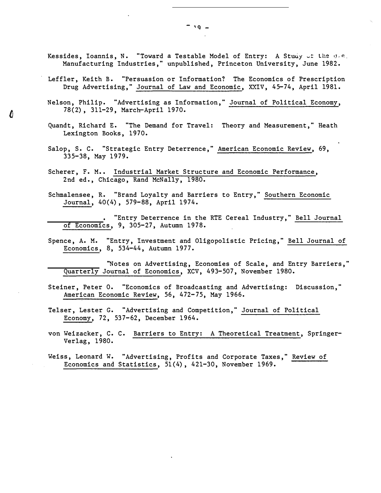- Kessides, Ioannis, N. "Toward a Testable Model of Entry: A Study of the 0.8. Manufacturing Industries," unpublished, Princeton University, June 1982.
- Leffler, Keith B. "Persuasion or Information? The Economics of Prescription Drug Advertising," Journal of Law and Economic, XXIV, 45-74, April 1981.
- Nelson, Philip. "Advertising as Information," Journal of Political Economy, 78 (2), 311-29, March-April 1970.
- Quandt, Richard E. "The Demand for Travel: Theory and Measurement," Heath Lexington Books, 1970.
- Salop, S. C. "Strategic Entry Deterrence," American Economic Review, 69, 335-38, May 1979.
- Scherer, F. M.. Industrial Market Structure and Economic Performance, 2nd ed., Chicago, Rand McNally, 1980.
- Schmalensee, R. "Brand Loyalty and Barriers to Entry," Southern Economic Journal, 40(4), 579-88, April 1974.

"Entry Deterrence in the RTE Cereal Industry," Bell Journal of Economics, 9, 305-27, Autumn 1978.

Spence, A. M. "Entry, Investment and Oligopolistic Pricing," Bell Journal of Economics, 8, 534-44, Autumn 1977.

''Notes on Advertising, Economies of Scale, and En try Barriers," Quarterly Journal of Economics, XCV, 493-507, November 1980.

- Steiner, Peter 0. "Economics of Broadcasting and Advertising: Discussion," American Economic Review, 56, 472-75, May 1966.
- Telser, Lester G. "Advertising and Competition," Journal of Political Economy, 72, 537-62, December 1964.
- von Weizacker, C. C. Barriers to Entry: A Theoretical Treatment, Springer-Verlag, 1980.
- Weiss, Leonard W. "Advertising, Profits and Corporate Taxes," Review of Economics and Statistics, 51 (4), 421-30, November 1969.

 $-19 -$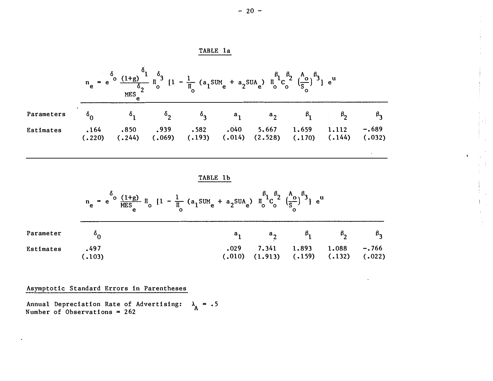|  | <b>STATISTICS</b> |  |  | . . |  |
|--|-------------------|--|--|-----|--|
|  |                   |  |  |     |  |

|            |                | $= e^{\int_{0}^{b} \frac{(1+g)^{0}1}{\delta_2} \pi \int_{0}^{\delta_3} [1 - \frac{1}{\pi} (a_1 \text{SUM}_{e} + a_2 \text{SUA}_{e}) \pi \int_{0}^{\beta_1} c_0^{\beta_2} (\frac{A_0}{s})^{\beta_3}] e^{u}}$<br>$n_e$ = e <sup>o</sup><br>$MES$ e |                |                |         |                             |                 |                 |                      |  |  |  |
|------------|----------------|--------------------------------------------------------------------------------------------------------------------------------------------------------------------------------------------------------------------------------------------------|----------------|----------------|---------|-----------------------------|-----------------|-----------------|----------------------|--|--|--|
| Parameters |                |                                                                                                                                                                                                                                                  |                |                | $a_{1}$ | $a_{\alpha}$                | $\beta_{1}$     |                 | $\beta_{\mathbf{z}}$ |  |  |  |
| Estimates  | .164<br>(.220) | .850<br>(.244)                                                                                                                                                                                                                                   | .939<br>(.069) | .582<br>(.193) | .040    | 5.667<br>$(.014)$ $(2.528)$ | 1.659<br>(.170) | 1.112<br>(.144) | $-.689$<br>(.032)    |  |  |  |

TABLE 1b

|           |                | $n_e = e^{\int_0^b \frac{(1+g)}{MES_a} \prod_0 [1 - \frac{1}{\pi} (a_1 S U M_e + a_2 S U A_e) \prod_0^b C_0^b (a_2 - a_1 B)^2] e^{u}}$ |      |                                                        |                   |       |             |
|-----------|----------------|----------------------------------------------------------------------------------------------------------------------------------------|------|--------------------------------------------------------|-------------------|-------|-------------|
| Parameter |                |                                                                                                                                        |      |                                                        | $a_2$ $b_1$ $b_2$ |       | $\beta_{3}$ |
| Estimates | .497<br>(.103) |                                                                                                                                        | .029 | 7.341<br>$(.010)$ $(1.913)$ $(.159)$ $(.132)$ $(.022)$ | 1.893             | 1.088 | $-.766$     |

Asymptotic Standard Errors in Parentheses

Annual Depreciation Rate of Advertising:  $\lambda_A$  = .5 Number of Observations = 262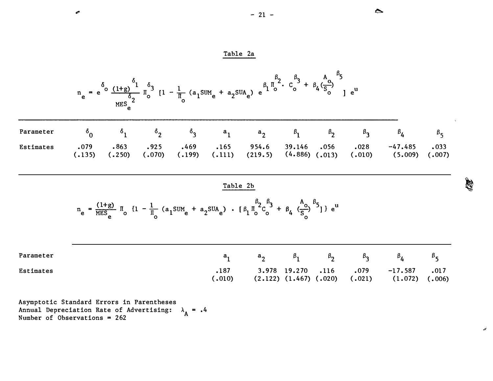|                                                                                                                                                                                                                                |                |                |                       |                       | Table 2a       |                                                                                                                                                          |                                        |             |                |                      |                      |
|--------------------------------------------------------------------------------------------------------------------------------------------------------------------------------------------------------------------------------|----------------|----------------|-----------------------|-----------------------|----------------|----------------------------------------------------------------------------------------------------------------------------------------------------------|----------------------------------------|-------------|----------------|----------------------|----------------------|
| $n_e = e^{\int_0^5 \frac{(1+g)^{10}}{\int_0^2} \frac{1}{\int_0^3} \int_0^3 [1 - \frac{1}{\pi} (a_1 \sinh e + a_2 \sinh e)] e^{\frac{\beta_1 \pi^2}{10} \cdot c_0^3 + \beta_4 (\frac{A_0}{\delta_0})^{\frac{\beta_5}{10}}} e^u$ |                |                |                       |                       |                |                                                                                                                                                          |                                        |             |                |                      |                      |
| Parameter                                                                                                                                                                                                                      | $\delta_{0}$   | $\delta_{1}$   | $\delta$ <sub>2</sub> | $\delta$ <sub>3</sub> | $a_1$          | a <sub>2</sub>                                                                                                                                           | $\beta_1$                              | $\beta_2$   | $\beta_3$      | $\beta$ <sub>4</sub> | $\beta_{5}$          |
| Estimates                                                                                                                                                                                                                      | .079<br>(.135) | .863<br>(.250) | .925<br>(.070)        | .469<br>(.199)        | .165<br>(.111) | 954.6<br>(219.5)                                                                                                                                         | 39.146<br>$(4.886)$ (.013)             | .056        | .028<br>(.010) | $-47.485$<br>(5.009) | .033<br>(.007)       |
|                                                                                                                                                                                                                                |                |                |                       |                       | Table 2b       | $n_e = \frac{(1+g)}{MES}$ $\pi_o$ $\{1 - \frac{1}{\pi} (a_1 SUM_e + a_2 SUA_e) \cdot [\beta_1 \pi_o^2 C_o^3 + \beta_4 (\frac{A_o}{S_o})^{\beta_5}\} e^u$ |                                        |             |                |                      |                      |
| Parameter                                                                                                                                                                                                                      |                |                |                       |                       | $a_1$          | $a_2$                                                                                                                                                    | $\beta_1$                              | $\beta_{2}$ | $\beta_{3}$    | $\beta$ <sub>4</sub> | $\beta$ <sub>5</sub> |
| Estimates                                                                                                                                                                                                                      |                |                |                       |                       | .187<br>(.010) | 3.978                                                                                                                                                    | 19.270<br>$(2.122)$ $(1.467)$ $(.020)$ | .116        | .079<br>(.021) | $-17.587$<br>(1.072) | .017<br>(.006)       |

Asymptotic Standard Errors in Parentheses Annual Depreciation Rate of Advertising:  $\lambda_A = .4$ Number of Observations =  $262$ 

 $\epsilon$ 

 $- 21 -$ 

 $\bullet$ 

**A** 

..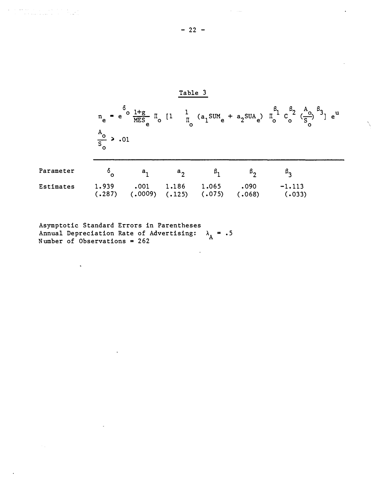|  |  |  | 法国际法 计重新分布器 计分布 医克里尔氏菌 计无线路 医无线虫 医心包 医血管                                           |
|--|--|--|------------------------------------------------------------------------------------|
|  |  |  | the contract of the contract of the con-                                           |
|  |  |  | the contract of the series of the company of the contract of the contract and con- |

|           | Table 3                 |                 |                   |                 |                       |                                                                                                                                                             |  |
|-----------|-------------------------|-----------------|-------------------|-----------------|-----------------------|-------------------------------------------------------------------------------------------------------------------------------------------------------------|--|
|           | $\frac{A_{o}}{S}$ > .01 |                 |                   |                 |                       | $n_e = e^{\int_0^5 \frac{1+g}{MES_e} \pi_0 [1 - \frac{1}{\pi_0} (a_1 S U M_e + a_2 S U A_e) \pi_0^{\beta_1} c_0^{\beta_2} (\frac{A_0}{S_0})^{\beta_3}] e^u$ |  |
| Parameter | $\delta$ o              | $a_{1}$         | $a_{\mathcal{D}}$ | $\beta_{1}$     | $\beta_{\mathcal{D}}$ | $\beta_{\mathbf{p}}$                                                                                                                                        |  |
| Estimates | 1.939<br>(.287)         | .001<br>(.0009) | 1.186<br>(.125)   | 1.065<br>(.075) | .090<br>(.068)        | $-1.113$<br>(.033)                                                                                                                                          |  |

 $\sim 10^{-10}$ 

Asymptotic Standard Errors in Parentheses Annual Depreciation Rate of Advertising:  $\lambda_A = .5$ <br>Number of Observations = 262

 $\mathcal{L}$ 

 $\sim$   $\sim$ 

 $\sim$ 

 $\hat{\mathcal{L}}_{\text{max}}$  and  $\hat{\mathcal{L}}_{\text{max}}$ 

 $\hat{\mathcal{A}}$ 

 $\omega$ 

N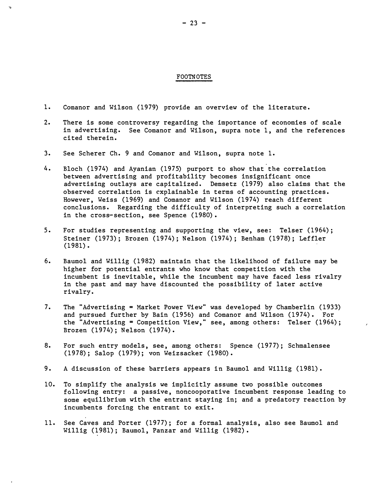#### FOOTNOTES

- 1. Comanor and Wilson (1979) provide an overview of the literature.
- 2. There is some controversy regarding the importance of economies of scale in advertising. See Comanor and Wilson, supra note 1, and the references cited therein.
- 3. See Scherer Ch. 9 and Comanor and Wilson, supra note 1.
- 4. Bloch (1974) and Ayanian (1975) purport to show that the correlation between advertising and profitability becomes insignificant once advertising outlays are capitalized. Demsetz (1979) also claims that the observed correlation is explainable in terms of accounting practices. However, Weiss (1969) and Comanor and Wilson (1974) reach different conclusions. Regarding the difficulty of interpreting such a correlation in the cross-section, see Spence (1980).
- 5. For studies representing and supporting the view, see: Telser (1964); Steiner (1973); Brozen (1974); Nelson (1974); Benham (1978); Leffler (1981).
- 6. Baumol and Willig (1982) maintain that the likelihood of failure may be higher for potential entrants who know that competition with the incumbent is inevitable, while the incumbent may have faced less rivalry in the past and may have discounted the possibility of later active rivalry.
- 7. The "Advertising = Market Power View" was developed by Chamberlin (1933) and pursued further by Bain (1956) and Comanor and Wilson (1974). For the "Advertising = Competition View," see, among others: Telser (1964); Brozen (1974); Nelson (1974).
- 8. For such entry models, see, among others: Spence (1977); Schmalensee (1978); Salop (1979); von Weizsacker (1980).
- 9. A discussion of these barriers appears in Baumol and Willig (1981).
- 10. To simplify the analysis we implicitly assume two possible outcomes following entry: a passive, noncooporative incumbent response leading to some equilibrium with the entrant staying in; and a predatory reaction by incumbents forcing the entrant to exit.
- 11. See Caves and Porter (1977 ); for a formal analysis, also see Baumol and Willig (1981); Baumol, Panzar and Willig (1982).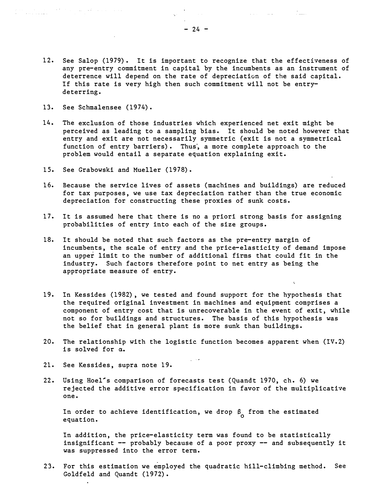- 12. See Salop (1979). It is important to recognize that the effectiveness of any pre-entry commitment in capital by the incumbents as an instrument of deterrence will depend on the rate of depreciation of the said capital. If this rate is very high then such commitment will not be entrydeterring.
- 13. See Schmalensee (1974).

 $\label{eq:2.1} \begin{split} &\mathcal{L}(\sigma^2\sigma^2) = \mathcal{L}(\sigma^2\sigma^2) = \mathcal{L}(\sigma^2\sigma^2) = \mathcal{L}(\sigma^2\sigma^2) = \mathcal{L}(\sigma^2\sigma^2) = \mathcal{L}(\sigma^2\sigma^2) = \mathcal{L}(\sigma^2\sigma^2) = \mathcal{L}(\sigma^2\sigma^2) = \mathcal{L}(\sigma^2\sigma^2) = \mathcal{L}(\sigma^2\sigma^2) = \mathcal{L}(\sigma^2\sigma^2) = \mathcal{L}(\sigma^2\sigma^2) = \mathcal{L}(\sigma^2\sigma^$ 

- 14. The exclusion of those industries which experienced net exit might be perceived as leading to a sampling bias. It should be noted however that entry and exit are not necessarily symmetric (exit is not a symmetrical function of entry barriers). Thus, a more complete approach to the problem would entail a separate equation explaining exit.
- 15. See Grabowski and Mueller (1978).
- 16. Because the service lives of assets (machines and buildings) are reduced for tax purposes, we use tax depreciation rather than the true economic depreciation for constructing these proxies of sunk costs.
- 17. It is assumed here that there is no a priori strong basis for assigning probabilities of entry into each of the size groups.
- 18. It should be noted that such factors as the pre-entry margin of incumbents, the scale of entry and the price-elasticity of demand impose an upper limit to the number of additional firms that could fit in the industry. Such factors therefore point to net entry as being the appropriate measure of entry.
- 19. In Kessides (1982), we tested and found support for the hypothesis that the required original investment in machines and equipment comprises a component of entry cost that is unrecoverable in the event of exit, while not so for buildings and structures. The basis of this hypothesis was the belief that in general plant is more sunk than buildings.
- 20. The relationship with the logistic function becomes apparent when (IV.2) is solved for a.
- 21. See Kessides, supra note 19.
- 22. Using Hoel's comparison of forecasts test (Quandt 1970, ch. 6) we rejected the additive error specification in favor of the multiplicative one.

In order to achieve identification, we drop  $\beta_0$  from the estimated equation.

In addition, the price-elasticity term was found to be statistically insignificant -- probably because of a poor proxy -- and subsequently it was suppressed into the error term.

23. For this estimation we employed the quadratic hill-climbing method. See Goldfeld and Quandt (1972).

 $- 24 -$ 

والمستوفي والمناوب والمتعاون والمتعاون والمتعاون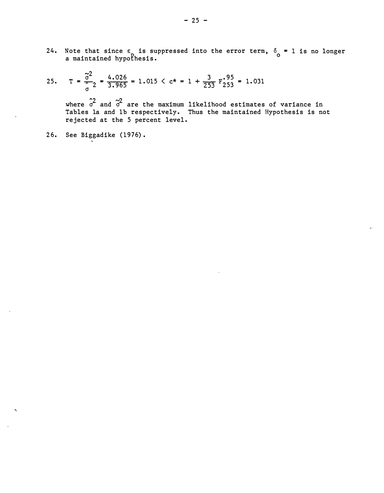24. Note that since  $\epsilon_n$  is suppressed into the error term,  $\delta_n = 1$  is no longer Note that since  $\epsilon_{\rm p}$  is suppressed into the error term,  $\delta_{\rm o}$  =<br>a maintained hypothesis.

25. 
$$
T = {\frac{\tilde{\sigma}^2}{\tilde{\sigma}^2}} = {\frac{4.026}{3.965}} = 1.015 < c^* = 1 + {\frac{3}{253}} F_{253}^{.95} = 1.031
$$

where  $\hat{\sigma}^2$  and  $\hat{\sigma}^2$  are the maximum likelihood estimates of variance in Tables la and lb respectively. Thus the maintained Hypothesis is not rejected at the 5 percent level.

26. See Biggadike (1976).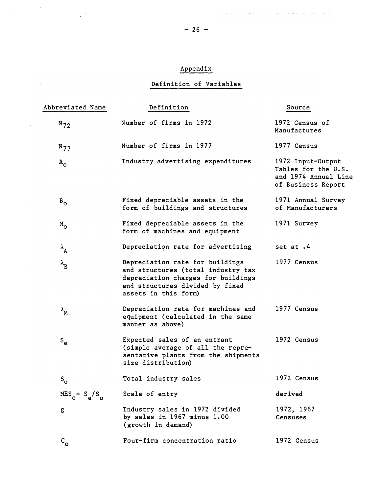### Appendix

### Definition of Variables

| Abbreviated Name       | Definition                                                                                                                                                             | Source                                                                                 |
|------------------------|------------------------------------------------------------------------------------------------------------------------------------------------------------------------|----------------------------------------------------------------------------------------|
| $N_{72}$               | Number of firms in 1972                                                                                                                                                | 1972 Census of<br>Manufactures                                                         |
| $N_{77}$               | Number of firms in 1977                                                                                                                                                | 1977 Census                                                                            |
| $A_{\rm o}$            | Industry advertising expenditures                                                                                                                                      | 1972 Input-Output<br>Tables for the U.S.<br>and 1974 Annual Line<br>of Business Report |
| $B_{\rm o}$            | Fixed depreciable assets in the<br>form of buildings and structures                                                                                                    | 1971 Annual Survey<br>of Manufacturers                                                 |
| $M_{\odot}$            | Fixed depreciable assets in the<br>form of machines and equipment                                                                                                      | 1971 Survey                                                                            |
| $\lambda_{\rm A}$      | Depreciation rate for advertising                                                                                                                                      | set at .4                                                                              |
| $\lambda$ <sub>B</sub> | Depreciation rate for buildings<br>and structures (total industry tax<br>depreciation charges for buildings<br>and structures divided by fixed<br>assets in this form) | 1977 Census                                                                            |
| $\lambda_{\rm M}$      | Depreciation rate for machines and<br>equipment (calculated in the same<br>manner as above)                                                                            | 1977 Census                                                                            |
| $s_{\rm e}$            | Expected sales of an entrant<br>(simple average of all the repre-<br>sentative plants from the shipments<br>size distribution)                                         | 1972 Census                                                                            |
| $S_{\mathbf{O}}$       | Total industry sales                                                                                                                                                   | 1972 Census                                                                            |
| $MES_e = S_e/S_o$      | Scale of entry                                                                                                                                                         | derived                                                                                |
| g                      | Industry sales in 1972 divided<br>by sales in 1967 minus 1.00<br>(growth in demand)                                                                                    | 1972, 1967<br>Censuses                                                                 |
| $c_{\rm o}$            | Four-firm concentration ratio                                                                                                                                          | 1972 Census                                                                            |

المادية فسأد فقطع ودعشامات المقراة فالتراد الممالح وتراد الماديات والمتحدة

 $\label{eq:1} \frac{d\mathbf{r}}{dt} = \frac{d\mathbf{r}}{dt}$ 

 $\ddot{\phantom{0}}$ 

 $\sim$ 

 $\mathcal{L}^{\text{max}}_{\text{max}}$